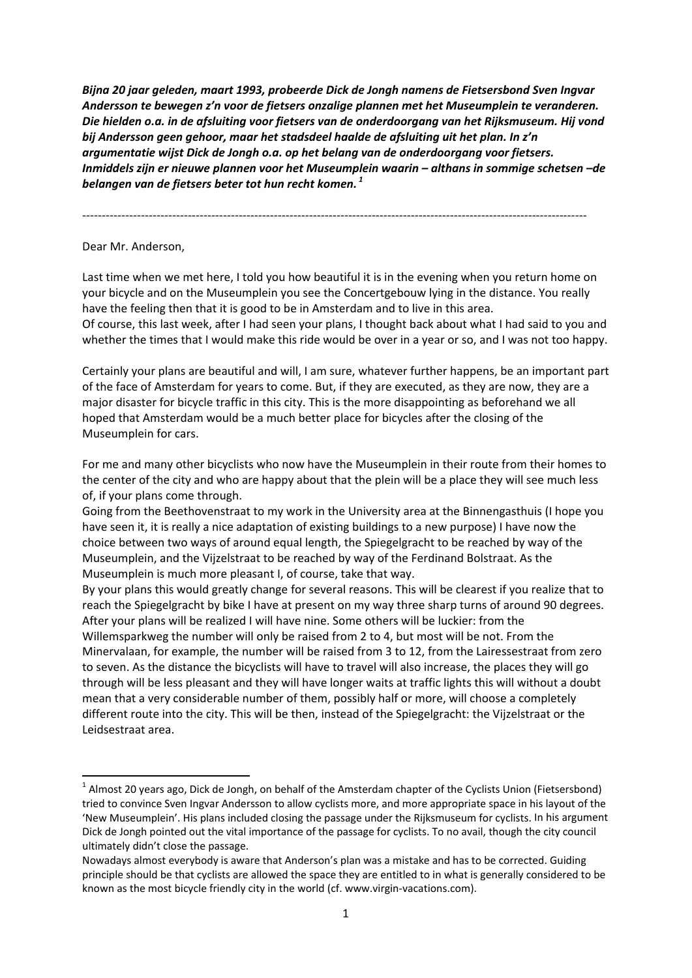*Bijna 20 jaar geleden, maart 1993, probeerde Dick de Jongh namens de Fietsersbond Sven Ingvar Andersson te bewegen z'n voor de fietsers onzalige plannen met het Museumplein te veranderen. Die hielden o.a. in de afsluiting voor fietsers van de onderdoorgang van het Rijksmuseum. Hij vond bij Andersson geen gehoor, maar het stadsdeel haalde de afsluiting uit het plan. In z'n argumentatie wijst Dick de Jongh o.a. op het belang van de onderdoorgang voor fietsers. Inmiddels zijn er nieuwe plannen voor het Museumplein waarin – althans in sommige schetsen –de belangen van de fietsers beter tot hun recht komen. <sup>1</sup>*

‐‐‐‐‐‐‐‐‐‐‐‐‐‐‐‐‐‐‐‐‐‐‐‐‐‐‐‐‐‐‐‐‐‐‐‐‐‐‐‐‐‐‐‐‐‐‐‐‐‐‐‐‐‐‐‐‐‐‐‐‐‐‐‐‐‐‐‐‐‐‐‐‐‐‐‐‐‐‐‐‐‐‐‐‐‐‐‐‐‐‐‐‐‐‐‐‐‐‐‐‐‐‐‐‐‐‐‐‐‐‐‐‐‐‐‐‐‐‐‐‐‐‐‐‐‐‐‐‐

## Dear Mr. Anderson,

Last time when we met here, I told you how beautiful it is in the evening when you return home on your bicycle and on the Museumplein you see the Concertgebouw lying in the distance. You really have the feeling then that it is good to be in Amsterdam and to live in this area. Of course, this last week, after I had seen your plans, I thought back about what I had said to you and whether the times that I would make this ride would be over in a year or so, and I was not too happy.

Certainly your plans are beautiful and will, I am sure, whatever further happens, be an important part of the face of Amsterdam for years to come. But, if they are executed, as they are now, they are a major disaster for bicycle traffic in this city. This is the more disappointing as beforehand we all hoped that Amsterdam would be a much better place for bicycles after the closing of the Museumplein for cars.

For me and many other bicyclists who now have the Museumplein in their route from their homes to the center of the city and who are happy about that the plein will be a place they will see much less of, if your plans come through.

Going from the Beethovenstraat to my work in the University area at the Binnengasthuis (I hope you have seen it, it is really a nice adaptation of existing buildings to a new purpose) I have now the choice between two ways of around equal length, the Spiegelgracht to be reached by way of the Museumplein, and the Vijzelstraat to be reached by way of the Ferdinand Bolstraat. As the Museumplein is much more pleasant I, of course, take that way.

By your plans this would greatly change for several reasons. This will be clearest if you realize that to reach the Spiegelgracht by bike I have at present on my way three sharp turns of around 90 degrees. After your plans will be realized I will have nine. Some others will be luckier: from the Willemsparkweg the number will only be raised from 2 to 4, but most will be not. From the Minervalaan, for example, the number will be raised from 3 to 12, from the Lairessestraat from zero to seven. As the distance the bicyclists will have to travel will also increase, the places they will go through will be less pleasant and they will have longer waits at traffic lights this will without a doubt mean that a very considerable number of them, possibly half or more, will choose a completely different route into the city. This will be then, instead of the Spiegelgracht: the Vijzelstraat or the Leidsestraat area.

 $1$  Almost 20 years ago, Dick de Jongh, on behalf of the Amsterdam chapter of the Cyclists Union (Fietsersbond) tried to convince Sven Ingvar Andersson to allow cyclists more, and more appropriate space in his layout of the 'New Museumplein'. His plans included closing the passage under the Rijksmuseum for cyclists. In his argument Dick de Jongh pointed out the vital importance of the passage for cyclists. To no avail, though the city council ultimately didn't close the passage.

Nowadays almost everybody is aware that Anderson's plan was a mistake and has to be corrected. Guiding principle should be that cyclists are allowed the space they are entitled to in what is generally considered to be known as the most bicycle friendly city in the world (cf. www.virgin‐vacations.com).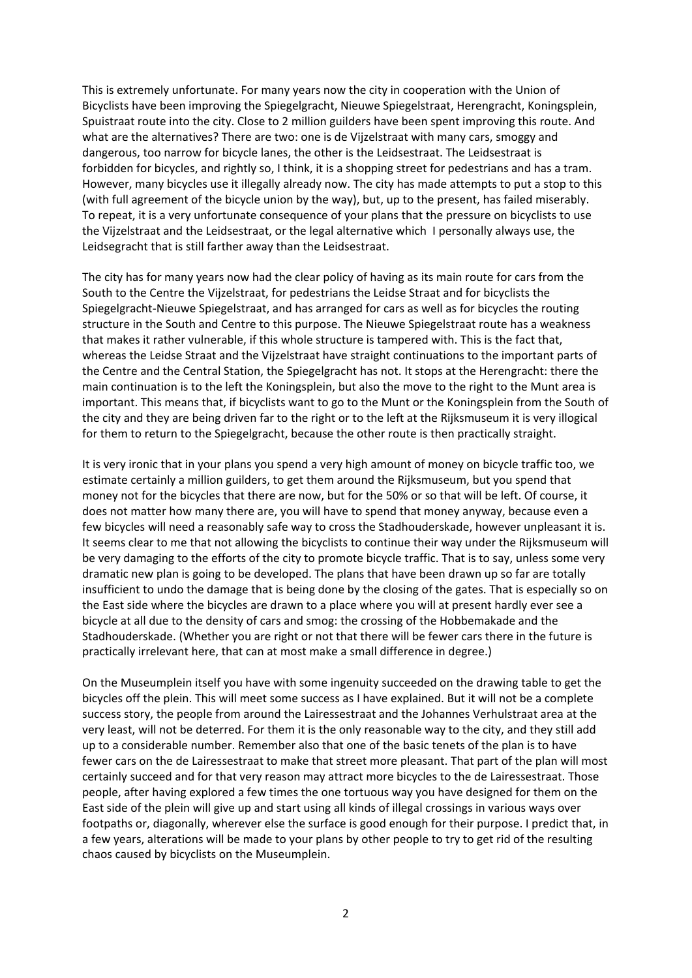This is extremely unfortunate. For many years now the city in cooperation with the Union of Bicyclists have been improving the Spiegelgracht, Nieuwe Spiegelstraat, Herengracht, Koningsplein, Spuistraat route into the city. Close to 2 million guilders have been spent improving this route. And what are the alternatives? There are two: one is de Vijzelstraat with many cars, smoggy and dangerous, too narrow for bicycle lanes, the other is the Leidsestraat. The Leidsestraat is forbidden for bicycles, and rightly so, I think, it is a shopping street for pedestrians and has a tram. However, many bicycles use it illegally already now. The city has made attempts to put a stop to this (with full agreement of the bicycle union by the way), but, up to the present, has failed miserably. To repeat, it is a very unfortunate consequence of your plans that the pressure on bicyclists to use the Vijzelstraat and the Leidsestraat, or the legal alternative which I personally always use, the Leidsegracht that is still farther away than the Leidsestraat.

The city has for many years now had the clear policy of having as its main route for cars from the South to the Centre the Vijzelstraat, for pedestrians the Leidse Straat and for bicyclists the Spiegelgracht‐Nieuwe Spiegelstraat, and has arranged for cars as well as for bicycles the routing structure in the South and Centre to this purpose. The Nieuwe Spiegelstraat route has a weakness that makes it rather vulnerable, if this whole structure is tampered with. This is the fact that, whereas the Leidse Straat and the Vijzelstraat have straight continuations to the important parts of the Centre and the Central Station, the Spiegelgracht has not. It stops at the Herengracht: there the main continuation is to the left the Koningsplein, but also the move to the right to the Munt area is important. This means that, if bicyclists want to go to the Munt or the Koningsplein from the South of the city and they are being driven far to the right or to the left at the Rijksmuseum it is very illogical for them to return to the Spiegelgracht, because the other route is then practically straight.

It is very ironic that in your plans you spend a very high amount of money on bicycle traffic too, we estimate certainly a million guilders, to get them around the Rijksmuseum, but you spend that money not for the bicycles that there are now, but for the 50% or so that will be left. Of course, it does not matter how many there are, you will have to spend that money anyway, because even a few bicycles will need a reasonably safe way to cross the Stadhouderskade, however unpleasant it is. It seems clear to me that not allowing the bicyclists to continue their way under the Rijksmuseum will be very damaging to the efforts of the city to promote bicycle traffic. That is to say, unless some very dramatic new plan is going to be developed. The plans that have been drawn up so far are totally insufficient to undo the damage that is being done by the closing of the gates. That is especially so on the East side where the bicycles are drawn to a place where you will at present hardly ever see a bicycle at all due to the density of cars and smog: the crossing of the Hobbemakade and the Stadhouderskade. (Whether you are right or not that there will be fewer cars there in the future is practically irrelevant here, that can at most make a small difference in degree.)

On the Museumplein itself you have with some ingenuity succeeded on the drawing table to get the bicycles off the plein. This will meet some success as I have explained. But it will not be a complete success story, the people from around the Lairessestraat and the Johannes Verhulstraat area at the very least, will not be deterred. For them it is the only reasonable way to the city, and they still add up to a considerable number. Remember also that one of the basic tenets of the plan is to have fewer cars on the de Lairessestraat to make that street more pleasant. That part of the plan will most certainly succeed and for that very reason may attract more bicycles to the de Lairessestraat. Those people, after having explored a few times the one tortuous way you have designed for them on the East side of the plein will give up and start using all kinds of illegal crossings in various ways over footpaths or, diagonally, wherever else the surface is good enough for their purpose. I predict that, in a few years, alterations will be made to your plans by other people to try to get rid of the resulting chaos caused by bicyclists on the Museumplein.